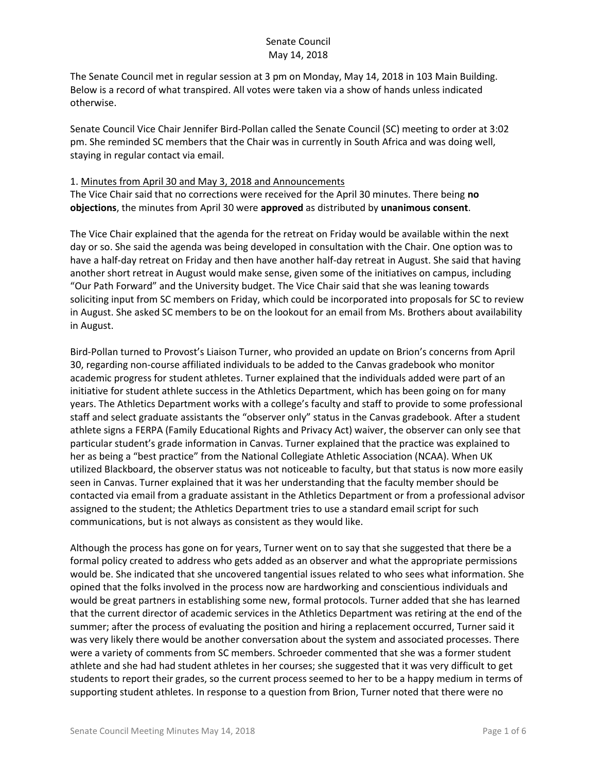The Senate Council met in regular session at 3 pm on Monday, May 14, 2018 in 103 Main Building. Below is a record of what transpired. All votes were taken via a show of hands unless indicated otherwise.

Senate Council Vice Chair Jennifer Bird-Pollan called the Senate Council (SC) meeting to order at 3:02 pm. She reminded SC members that the Chair was in currently in South Africa and was doing well, staying in regular contact via email.

#### 1. Minutes from April 30 and May 3, 2018 and Announcements

The Vice Chair said that no corrections were received for the April 30 minutes. There being **no objections**, the minutes from April 30 were **approved** as distributed by **unanimous consent**.

The Vice Chair explained that the agenda for the retreat on Friday would be available within the next day or so. She said the agenda was being developed in consultation with the Chair. One option was to have a half-day retreat on Friday and then have another half-day retreat in August. She said that having another short retreat in August would make sense, given some of the initiatives on campus, including "Our Path Forward" and the University budget. The Vice Chair said that she was leaning towards soliciting input from SC members on Friday, which could be incorporated into proposals for SC to review in August. She asked SC members to be on the lookout for an email from Ms. Brothers about availability in August.

Bird-Pollan turned to Provost's Liaison Turner, who provided an update on Brion's concerns from April 30, regarding non-course affiliated individuals to be added to the Canvas gradebook who monitor academic progress for student athletes. Turner explained that the individuals added were part of an initiative for student athlete success in the Athletics Department, which has been going on for many years. The Athletics Department works with a college's faculty and staff to provide to some professional staff and select graduate assistants the "observer only" status in the Canvas gradebook. After a student athlete signs a FERPA (Family Educational Rights and Privacy Act) waiver, the observer can only see that particular student's grade information in Canvas. Turner explained that the practice was explained to her as being a "best practice" from the National Collegiate Athletic Association (NCAA). When UK utilized Blackboard, the observer status was not noticeable to faculty, but that status is now more easily seen in Canvas. Turner explained that it was her understanding that the faculty member should be contacted via email from a graduate assistant in the Athletics Department or from a professional advisor assigned to the student; the Athletics Department tries to use a standard email script for such communications, but is not always as consistent as they would like.

Although the process has gone on for years, Turner went on to say that she suggested that there be a formal policy created to address who gets added as an observer and what the appropriate permissions would be. She indicated that she uncovered tangential issues related to who sees what information. She opined that the folks involved in the process now are hardworking and conscientious individuals and would be great partners in establishing some new, formal protocols. Turner added that she has learned that the current director of academic services in the Athletics Department was retiring at the end of the summer; after the process of evaluating the position and hiring a replacement occurred, Turner said it was very likely there would be another conversation about the system and associated processes. There were a variety of comments from SC members. Schroeder commented that she was a former student athlete and she had had student athletes in her courses; she suggested that it was very difficult to get students to report their grades, so the current process seemed to her to be a happy medium in terms of supporting student athletes. In response to a question from Brion, Turner noted that there were no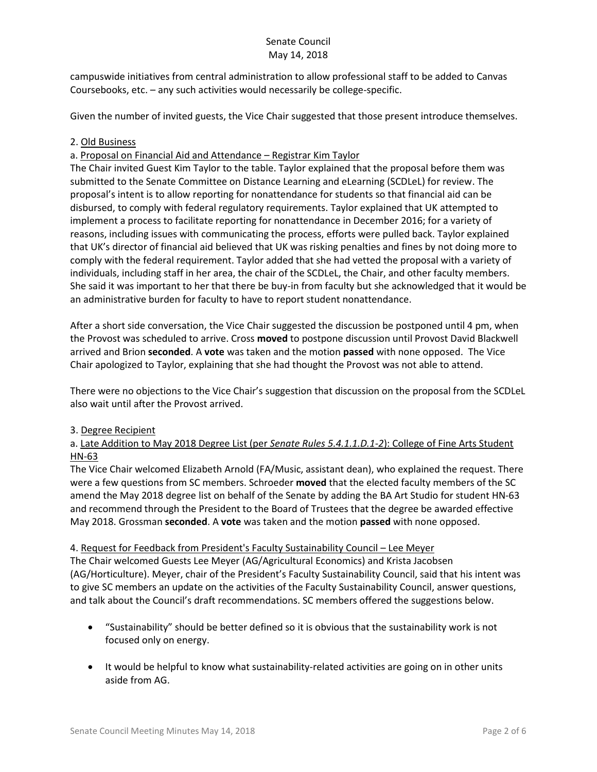campuswide initiatives from central administration to allow professional staff to be added to Canvas Coursebooks, etc. – any such activities would necessarily be college-specific.

Given the number of invited guests, the Vice Chair suggested that those present introduce themselves.

### 2. Old Business

## a. Proposal on Financial Aid and Attendance – Registrar Kim Taylor

The Chair invited Guest Kim Taylor to the table. Taylor explained that the proposal before them was submitted to the Senate Committee on Distance Learning and eLearning (SCDLeL) for review. The proposal's intent is to allow reporting for nonattendance for students so that financial aid can be disbursed, to comply with federal regulatory requirements. Taylor explained that UK attempted to implement a process to facilitate reporting for nonattendance in December 2016; for a variety of reasons, including issues with communicating the process, efforts were pulled back. Taylor explained that UK's director of financial aid believed that UK was risking penalties and fines by not doing more to comply with the federal requirement. Taylor added that she had vetted the proposal with a variety of individuals, including staff in her area, the chair of the SCDLeL, the Chair, and other faculty members. She said it was important to her that there be buy-in from faculty but she acknowledged that it would be an administrative burden for faculty to have to report student nonattendance.

After a short side conversation, the Vice Chair suggested the discussion be postponed until 4 pm, when the Provost was scheduled to arrive. Cross **moved** to postpone discussion until Provost David Blackwell arrived and Brion **seconded**. A **vote** was taken and the motion **passed** with none opposed. The Vice Chair apologized to Taylor, explaining that she had thought the Provost was not able to attend.

There were no objections to the Vice Chair's suggestion that discussion on the proposal from the SCDLeL also wait until after the Provost arrived.

### 3. Degree Recipient

## a. Late Addition to May 2018 Degree List (per *Senate Rules 5.4.1.1.D.1-2*): College of Fine Arts Student HN-63

The Vice Chair welcomed Elizabeth Arnold (FA/Music, assistant dean), who explained the request. There were a few questions from SC members. Schroeder **moved** that the elected faculty members of the SC amend the May 2018 degree list on behalf of the Senate by adding the BA Art Studio for student HN-63 and recommend through the President to the Board of Trustees that the degree be awarded effective May 2018. Grossman **seconded**. A **vote** was taken and the motion **passed** with none opposed.

### 4. Request for Feedback from President's Faculty Sustainability Council – Lee Meyer

The Chair welcomed Guests Lee Meyer (AG/Agricultural Economics) and Krista Jacobsen (AG/Horticulture). Meyer, chair of the President's Faculty Sustainability Council, said that his intent was to give SC members an update on the activities of the Faculty Sustainability Council, answer questions, and talk about the Council's draft recommendations. SC members offered the suggestions below.

- "Sustainability" should be better defined so it is obvious that the sustainability work is not focused only on energy.
- It would be helpful to know what sustainability-related activities are going on in other units aside from AG.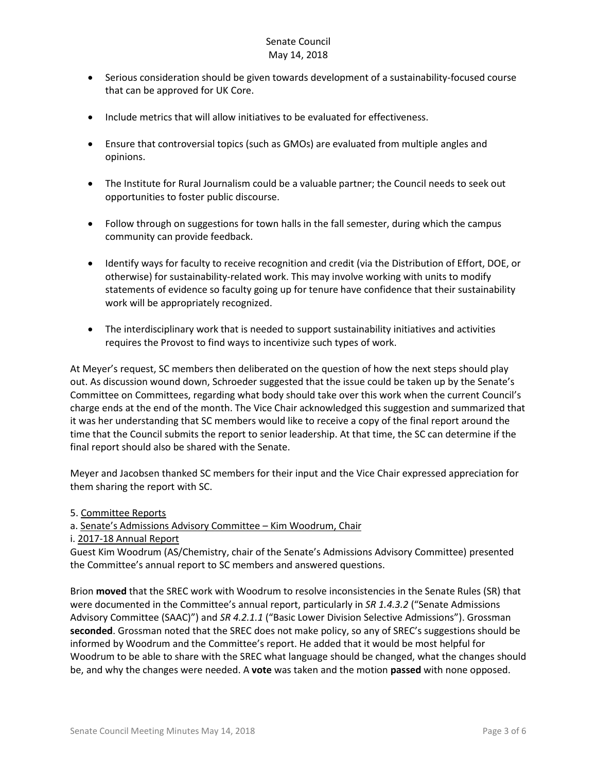- Serious consideration should be given towards development of a sustainability-focused course that can be approved for UK Core.
- Include metrics that will allow initiatives to be evaluated for effectiveness.
- Ensure that controversial topics (such as GMOs) are evaluated from multiple angles and opinions.
- The Institute for Rural Journalism could be a valuable partner; the Council needs to seek out opportunities to foster public discourse.
- Follow through on suggestions for town halls in the fall semester, during which the campus community can provide feedback.
- Identify ways for faculty to receive recognition and credit (via the Distribution of Effort, DOE, or otherwise) for sustainability-related work. This may involve working with units to modify statements of evidence so faculty going up for tenure have confidence that their sustainability work will be appropriately recognized.
- The interdisciplinary work that is needed to support sustainability initiatives and activities requires the Provost to find ways to incentivize such types of work.

At Meyer's request, SC members then deliberated on the question of how the next steps should play out. As discussion wound down, Schroeder suggested that the issue could be taken up by the Senate's Committee on Committees, regarding what body should take over this work when the current Council's charge ends at the end of the month. The Vice Chair acknowledged this suggestion and summarized that it was her understanding that SC members would like to receive a copy of the final report around the time that the Council submits the report to senior leadership. At that time, the SC can determine if the final report should also be shared with the Senate.

Meyer and Jacobsen thanked SC members for their input and the Vice Chair expressed appreciation for them sharing the report with SC.

5. Committee Reports

a. Senate's Admissions Advisory Committee – Kim Woodrum, Chair

i. 2017-18 Annual Report

Guest Kim Woodrum (AS/Chemistry, chair of the Senate's Admissions Advisory Committee) presented the Committee's annual report to SC members and answered questions.

Brion **moved** that the SREC work with Woodrum to resolve inconsistencies in the Senate Rules (SR) that were documented in the Committee's annual report, particularly in *SR 1.4.3.2* ("Senate Admissions Advisory Committee (SAAC)") and *SR 4.2.1.1* ("Basic Lower Division Selective Admissions"). Grossman **seconded**. Grossman noted that the SREC does not make policy, so any of SREC's suggestions should be informed by Woodrum and the Committee's report. He added that it would be most helpful for Woodrum to be able to share with the SREC what language should be changed, what the changes should be, and why the changes were needed. A **vote** was taken and the motion **passed** with none opposed.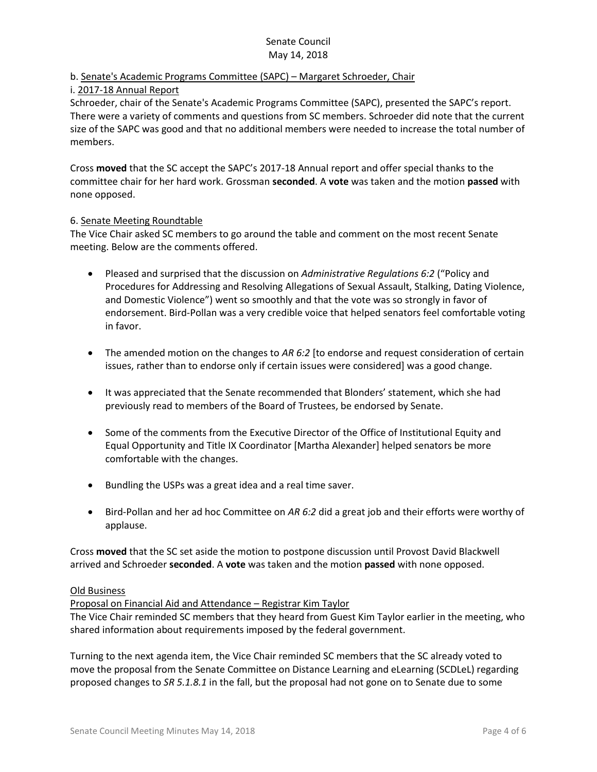# b. Senate's Academic Programs Committee (SAPC) – Margaret Schroeder, Chair

### i. 2017-18 Annual Report

Schroeder, chair of the Senate's Academic Programs Committee (SAPC), presented the SAPC's report. There were a variety of comments and questions from SC members. Schroeder did note that the current size of the SAPC was good and that no additional members were needed to increase the total number of members.

Cross **moved** that the SC accept the SAPC's 2017-18 Annual report and offer special thanks to the committee chair for her hard work. Grossman **seconded**. A **vote** was taken and the motion **passed** with none opposed.

### 6. Senate Meeting Roundtable

The Vice Chair asked SC members to go around the table and comment on the most recent Senate meeting. Below are the comments offered.

- Pleased and surprised that the discussion on *Administrative Regulations 6:2* ("Policy and Procedures for Addressing and Resolving Allegations of Sexual Assault, Stalking, Dating Violence, and Domestic Violence") went so smoothly and that the vote was so strongly in favor of endorsement. Bird-Pollan was a very credible voice that helped senators feel comfortable voting in favor.
- The amended motion on the changes to AR 6:2 [to endorse and request consideration of certain issues, rather than to endorse only if certain issues were considered] was a good change.
- It was appreciated that the Senate recommended that Blonders' statement, which she had previously read to members of the Board of Trustees, be endorsed by Senate.
- Some of the comments from the Executive Director of the Office of Institutional Equity and Equal Opportunity and Title IX Coordinator [Martha Alexander] helped senators be more comfortable with the changes.
- Bundling the USPs was a great idea and a real time saver.
- Bird-Pollan and her ad hoc Committee on *AR 6:2* did a great job and their efforts were worthy of applause.

Cross **moved** that the SC set aside the motion to postpone discussion until Provost David Blackwell arrived and Schroeder **seconded**. A **vote** was taken and the motion **passed** with none opposed.

### Old Business

Proposal on Financial Aid and Attendance – Registrar Kim Taylor

The Vice Chair reminded SC members that they heard from Guest Kim Taylor earlier in the meeting, who shared information about requirements imposed by the federal government.

Turning to the next agenda item, the Vice Chair reminded SC members that the SC already voted to move the proposal from the Senate Committee on Distance Learning and eLearning (SCDLeL) regarding proposed changes to *SR 5.1.8.1* in the fall, but the proposal had not gone on to Senate due to some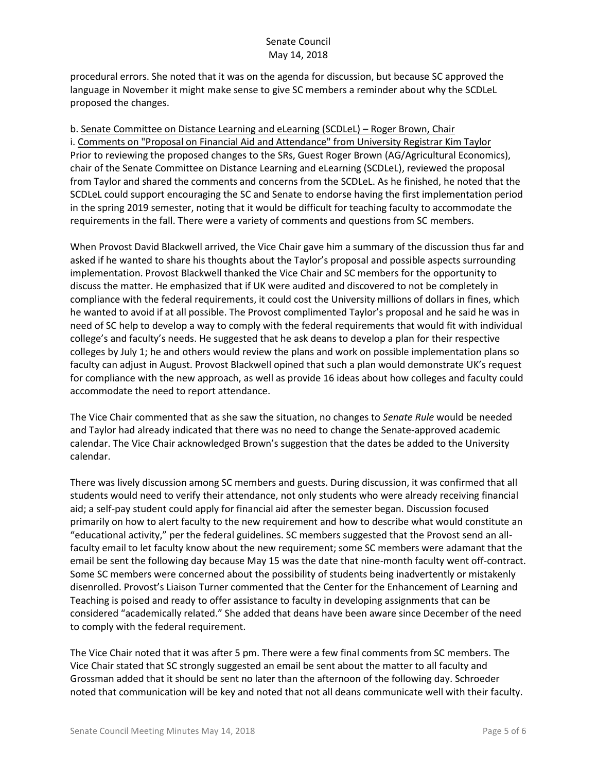procedural errors. She noted that it was on the agenda for discussion, but because SC approved the language in November it might make sense to give SC members a reminder about why the SCDLeL proposed the changes.

b. Senate Committee on Distance Learning and eLearning (SCDLeL) – Roger Brown, Chair i. Comments on "Proposal on Financial Aid and Attendance" from University Registrar Kim Taylor Prior to reviewing the proposed changes to the SRs, Guest Roger Brown (AG/Agricultural Economics), chair of the Senate Committee on Distance Learning and eLearning (SCDLeL), reviewed the proposal from Taylor and shared the comments and concerns from the SCDLeL. As he finished, he noted that the SCDLeL could support encouraging the SC and Senate to endorse having the first implementation period in the spring 2019 semester, noting that it would be difficult for teaching faculty to accommodate the requirements in the fall. There were a variety of comments and questions from SC members.

When Provost David Blackwell arrived, the Vice Chair gave him a summary of the discussion thus far and asked if he wanted to share his thoughts about the Taylor's proposal and possible aspects surrounding implementation. Provost Blackwell thanked the Vice Chair and SC members for the opportunity to discuss the matter. He emphasized that if UK were audited and discovered to not be completely in compliance with the federal requirements, it could cost the University millions of dollars in fines, which he wanted to avoid if at all possible. The Provost complimented Taylor's proposal and he said he was in need of SC help to develop a way to comply with the federal requirements that would fit with individual college's and faculty's needs. He suggested that he ask deans to develop a plan for their respective colleges by July 1; he and others would review the plans and work on possible implementation plans so faculty can adjust in August. Provost Blackwell opined that such a plan would demonstrate UK's request for compliance with the new approach, as well as provide 16 ideas about how colleges and faculty could accommodate the need to report attendance.

The Vice Chair commented that as she saw the situation, no changes to *Senate Rule* would be needed and Taylor had already indicated that there was no need to change the Senate-approved academic calendar. The Vice Chair acknowledged Brown's suggestion that the dates be added to the University calendar.

There was lively discussion among SC members and guests. During discussion, it was confirmed that all students would need to verify their attendance, not only students who were already receiving financial aid; a self-pay student could apply for financial aid after the semester began. Discussion focused primarily on how to alert faculty to the new requirement and how to describe what would constitute an "educational activity," per the federal guidelines. SC members suggested that the Provost send an allfaculty email to let faculty know about the new requirement; some SC members were adamant that the email be sent the following day because May 15 was the date that nine-month faculty went off-contract. Some SC members were concerned about the possibility of students being inadvertently or mistakenly disenrolled. Provost's Liaison Turner commented that the Center for the Enhancement of Learning and Teaching is poised and ready to offer assistance to faculty in developing assignments that can be considered "academically related." She added that deans have been aware since December of the need to comply with the federal requirement.

The Vice Chair noted that it was after 5 pm. There were a few final comments from SC members. The Vice Chair stated that SC strongly suggested an email be sent about the matter to all faculty and Grossman added that it should be sent no later than the afternoon of the following day. Schroeder noted that communication will be key and noted that not all deans communicate well with their faculty.